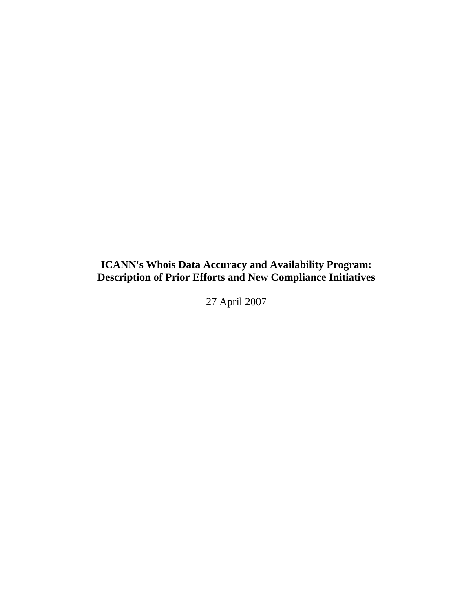# **ICANN's Whois Data Accuracy and Availability Program: Description of Prior Efforts and New Compliance Initiatives**

27 April 2007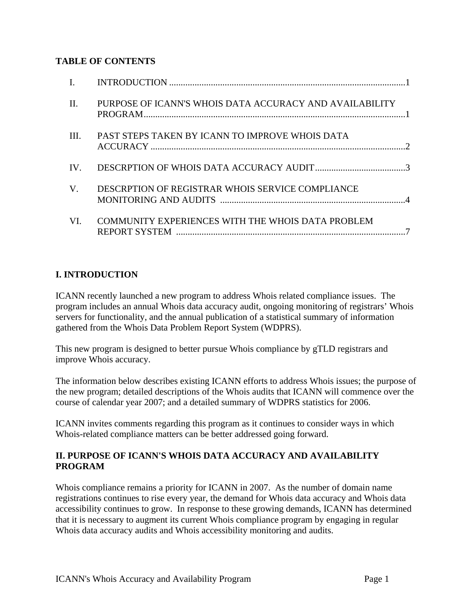## **TABLE OF CONTENTS**

| II.         | PURPOSE OF ICANN'S WHOIS DATA ACCURACY AND AVAILABILITY |  |
|-------------|---------------------------------------------------------|--|
| III.        | PAST STEPS TAKEN BY ICANN TO IMPROVE WHOIS DATA         |  |
| $IV_{-}$    |                                                         |  |
| $V_{\cdot}$ | DESCRPTION OF REGISTRAR WHOIS SERVICE COMPLIANCE        |  |
| VI.         | COMMUNITY EXPERIENCES WITH THE WHOIS DATA PROBLEM       |  |

## **I. INTRODUCTION**

ICANN recently launched a new program to address Whois related compliance issues. The program includes an annual Whois data accuracy audit, ongoing monitoring of registrars' Whois servers for functionality, and the annual publication of a statistical summary of information gathered from the Whois Data Problem Report System (WDPRS).

This new program is designed to better pursue Whois compliance by gTLD registrars and improve Whois accuracy.

The information below describes existing ICANN efforts to address Whois issues; the purpose of the new program; detailed descriptions of the Whois audits that ICANN will commence over the course of calendar year 2007; and a detailed summary of WDPRS statistics for 2006.

ICANN invites comments regarding this program as it continues to consider ways in which Whois-related compliance matters can be better addressed going forward.

## **II. PURPOSE OF ICANN'S WHOIS DATA ACCURACY AND AVAILABILITY PROGRAM**

Whois compliance remains a priority for ICANN in 2007. As the number of domain name registrations continues to rise every year, the demand for Whois data accuracy and Whois data accessibility continues to grow. In response to these growing demands, ICANN has determined that it is necessary to augment its current Whois compliance program by engaging in regular Whois data accuracy audits and Whois accessibility monitoring and audits.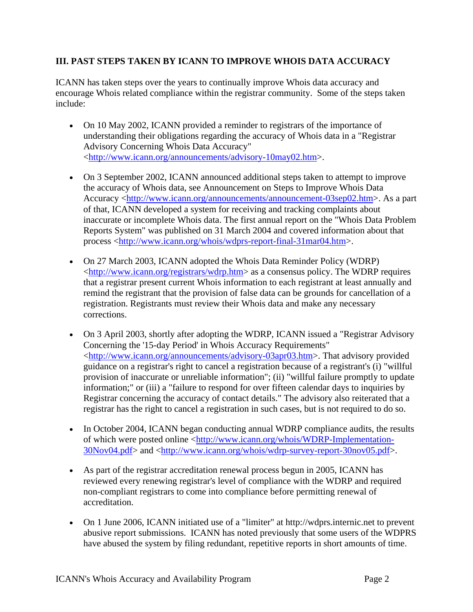## **III. PAST STEPS TAKEN BY ICANN TO IMPROVE WHOIS DATA ACCURACY**

ICANN has taken steps over the years to continually improve Whois data accuracy and encourage Whois related compliance within the registrar community. Some of the steps taken include:

- On 10 May 2002, ICANN provided a reminder to registrars of the importance of understanding their obligations regarding the accuracy of Whois data in a "Registrar Advisory Concerning Whois Data Accuracy" <http://www.icann.org/announcements/advisory-10may02.htm>.
- On 3 September 2002, ICANN announced additional steps taken to attempt to improve the accuracy of Whois data, see Announcement on Steps to Improve Whois Data Accuracy <http://www.icann.org/announcements/announcement-03sep02.htm>. As a part of that, ICANN developed a system for receiving and tracking complaints about inaccurate or incomplete Whois data. The first annual report on the "Whois Data Problem Reports System" was published on 31 March 2004 and covered information about that process <http://www.icann.org/whois/wdprs-report-final-31mar04.htm>.
- On 27 March 2003, ICANN adopted the Whois Data Reminder Policy (WDRP) <http://www.icann.org/registrars/wdrp.htm> as a consensus policy. The WDRP requires that a registrar present current Whois information to each registrant at least annually and remind the registrant that the provision of false data can be grounds for cancellation of a registration. Registrants must review their Whois data and make any necessary corrections.
- On 3 April 2003, shortly after adopting the WDRP, ICANN issued a "Registrar Advisory" Concerning the '15-day Period' in Whois Accuracy Requirements" <http://www.icann.org/announcements/advisory-03apr03.htm>. That advisory provided guidance on a registrar's right to cancel a registration because of a registrant's (i) "willful provision of inaccurate or unreliable information"; (ii) "willful failure promptly to update information;" or (iii) a "failure to respond for over fifteen calendar days to inquiries by Registrar concerning the accuracy of contact details." The advisory also reiterated that a registrar has the right to cancel a registration in such cases, but is not required to do so.
- In October 2004, ICANN began conducting annual WDRP compliance audits, the results of which were posted online <http://www.icann.org/whois/WDRP-Implementation-30Nov04.pdf> and <http://www.icann.org/whois/wdrp-survey-report-30nov05.pdf>.
- As part of the registrar accreditation renewal process begun in 2005, ICANN has reviewed every renewing registrar's level of compliance with the WDRP and required non-compliant registrars to come into compliance before permitting renewal of accreditation.
- On 1 June 2006, ICANN initiated use of a "limiter" at http://wdprs.internic.net to prevent abusive report submissions. ICANN has noted previously that some users of the WDPRS have abused the system by filing redundant, repetitive reports in short amounts of time.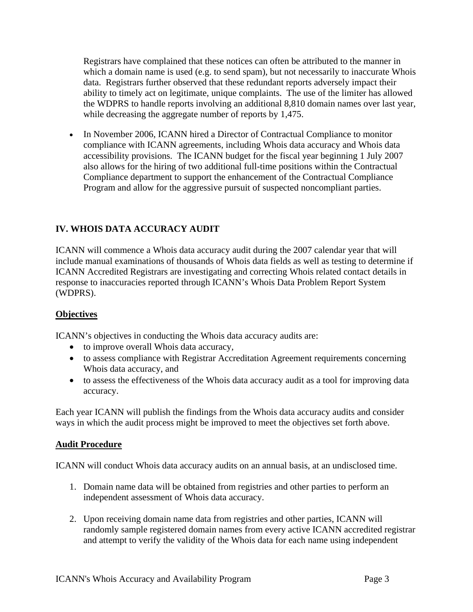Registrars have complained that these notices can often be attributed to the manner in which a domain name is used (e.g. to send spam), but not necessarily to inaccurate Whois data. Registrars further observed that these redundant reports adversely impact their ability to timely act on legitimate, unique complaints. The use of the limiter has allowed the WDPRS to handle reports involving an additional 8,810 domain names over last year, while decreasing the aggregate number of reports by 1,475.

• In November 2006, ICANN hired a Director of Contractual Compliance to monitor compliance with ICANN agreements, including Whois data accuracy and Whois data accessibility provisions. The ICANN budget for the fiscal year beginning 1 July 2007 also allows for the hiring of two additional full-time positions within the Contractual Compliance department to support the enhancement of the Contractual Compliance Program and allow for the aggressive pursuit of suspected noncompliant parties.

# **IV. WHOIS DATA ACCURACY AUDIT**

ICANN will commence a Whois data accuracy audit during the 2007 calendar year that will include manual examinations of thousands of Whois data fields as well as testing to determine if ICANN Accredited Registrars are investigating and correcting Whois related contact details in response to inaccuracies reported through ICANN's Whois Data Problem Report System (WDPRS).

## **Objectives**

ICANN's objectives in conducting the Whois data accuracy audits are:

- to improve overall Whois data accuracy,
- to assess compliance with Registrar Accreditation Agreement requirements concerning Whois data accuracy, and
- to assess the effectiveness of the Whois data accuracy audit as a tool for improving data accuracy.

Each year ICANN will publish the findings from the Whois data accuracy audits and consider ways in which the audit process might be improved to meet the objectives set forth above.

## **Audit Procedure**

ICANN will conduct Whois data accuracy audits on an annual basis, at an undisclosed time.

- 1. Domain name data will be obtained from registries and other parties to perform an independent assessment of Whois data accuracy.
- 2. Upon receiving domain name data from registries and other parties, ICANN will randomly sample registered domain names from every active ICANN accredited registrar and attempt to verify the validity of the Whois data for each name using independent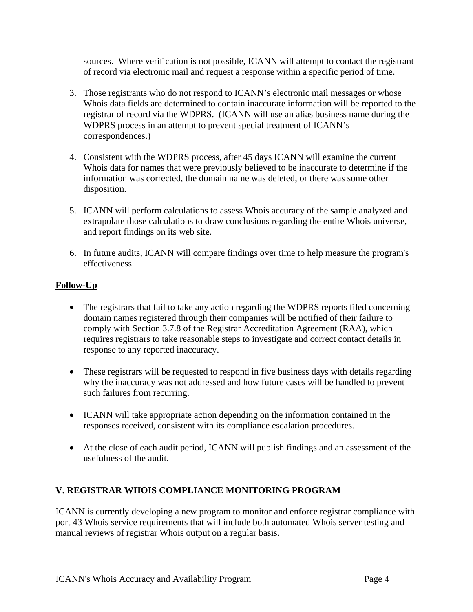sources. Where verification is not possible, ICANN will attempt to contact the registrant of record via electronic mail and request a response within a specific period of time.

- 3. Those registrants who do not respond to ICANN's electronic mail messages or whose Whois data fields are determined to contain inaccurate information will be reported to the registrar of record via the WDPRS. (ICANN will use an alias business name during the WDPRS process in an attempt to prevent special treatment of ICANN's correspondences.)
- 4. Consistent with the WDPRS process, after 45 days ICANN will examine the current Whois data for names that were previously believed to be inaccurate to determine if the information was corrected, the domain name was deleted, or there was some other disposition.
- 5. ICANN will perform calculations to assess Whois accuracy of the sample analyzed and extrapolate those calculations to draw conclusions regarding the entire Whois universe, and report findings on its web site.
- 6. In future audits, ICANN will compare findings over time to help measure the program's effectiveness.

# **Follow-Up**

- The registrars that fail to take any action regarding the WDPRS reports filed concerning domain names registered through their companies will be notified of their failure to comply with Section 3.7.8 of the Registrar Accreditation Agreement (RAA), which requires registrars to take reasonable steps to investigate and correct contact details in response to any reported inaccuracy.
- These registrars will be requested to respond in five business days with details regarding why the inaccuracy was not addressed and how future cases will be handled to prevent such failures from recurring.
- ICANN will take appropriate action depending on the information contained in the responses received, consistent with its compliance escalation procedures.
- At the close of each audit period, ICANN will publish findings and an assessment of the usefulness of the audit.

# **V. REGISTRAR WHOIS COMPLIANCE MONITORING PROGRAM**

ICANN is currently developing a new program to monitor and enforce registrar compliance with port 43 Whois service requirements that will include both automated Whois server testing and manual reviews of registrar Whois output on a regular basis.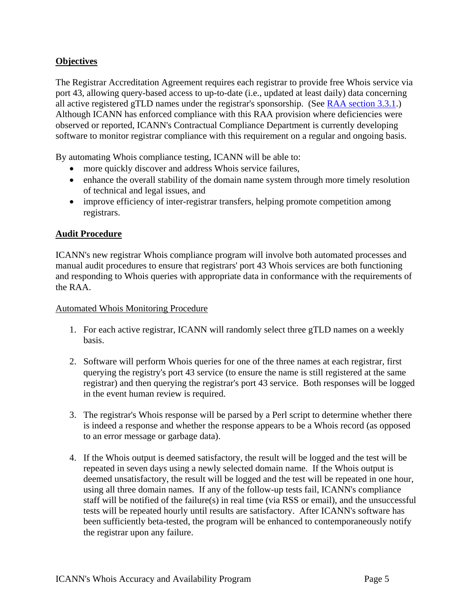## **Objectives**

The Registrar Accreditation Agreement requires each registrar to provide free Whois service via port 43, allowing query-based access to up-to-date (i.e., updated at least daily) data concerning all active registered gTLD names under the registrar's sponsorship. (See RAA section 3.3.1.) Although ICANN has enforced compliance with this RAA provision where deficiencies were observed or reported, ICANN's Contractual Compliance Department is currently developing software to monitor registrar compliance with this requirement on a regular and ongoing basis.

By automating Whois compliance testing, ICANN will be able to:

- more quickly discover and address Whois service failures,
- enhance the overall stability of the domain name system through more timely resolution of technical and legal issues, and
- improve efficiency of inter-registrar transfers, helping promote competition among registrars.

## **Audit Procedure**

ICANN's new registrar Whois compliance program will involve both automated processes and manual audit procedures to ensure that registrars' port 43 Whois services are both functioning and responding to Whois queries with appropriate data in conformance with the requirements of the RAA.

#### Automated Whois Monitoring Procedure

- 1. For each active registrar, ICANN will randomly select three gTLD names on a weekly basis.
- 2. Software will perform Whois queries for one of the three names at each registrar, first querying the registry's port 43 service (to ensure the name is still registered at the same registrar) and then querying the registrar's port 43 service. Both responses will be logged in the event human review is required.
- 3. The registrar's Whois response will be parsed by a Perl script to determine whether there is indeed a response and whether the response appears to be a Whois record (as opposed to an error message or garbage data).
- 4. If the Whois output is deemed satisfactory, the result will be logged and the test will be repeated in seven days using a newly selected domain name. If the Whois output is deemed unsatisfactory, the result will be logged and the test will be repeated in one hour, using all three domain names. If any of the follow-up tests fail, ICANN's compliance staff will be notified of the failure(s) in real time (via RSS or email), and the unsuccessful tests will be repeated hourly until results are satisfactory. After ICANN's software has been sufficiently beta-tested, the program will be enhanced to contemporaneously notify the registrar upon any failure.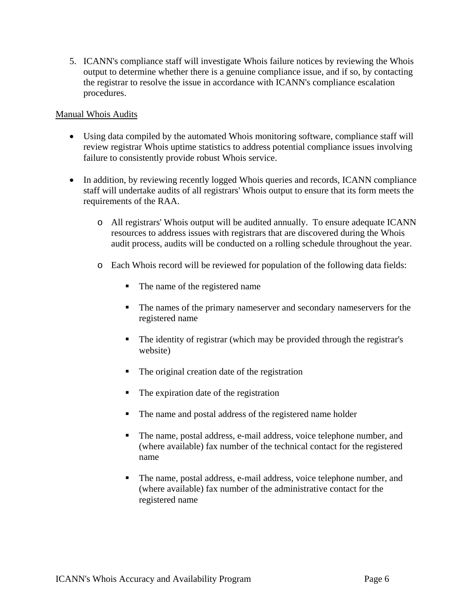5. ICANN's compliance staff will investigate Whois failure notices by reviewing the Whois output to determine whether there is a genuine compliance issue, and if so, by contacting the registrar to resolve the issue in accordance with ICANN's compliance escalation procedures.

#### Manual Whois Audits

- Using data compiled by the automated Whois monitoring software, compliance staff will review registrar Whois uptime statistics to address potential compliance issues involving failure to consistently provide robust Whois service.
- In addition, by reviewing recently logged Whois queries and records, ICANN compliance staff will undertake audits of all registrars' Whois output to ensure that its form meets the requirements of the RAA.
	- o All registrars' Whois output will be audited annually. To ensure adequate ICANN resources to address issues with registrars that are discovered during the Whois audit process, audits will be conducted on a rolling schedule throughout the year.
	- o Each Whois record will be reviewed for population of the following data fields:
		- The name of the registered name
		- The names of the primary nameserver and secondary nameservers for the registered name
		- The identity of registrar (which may be provided through the registrar's website)
		- The original creation date of the registration
		- The expiration date of the registration
		- The name and postal address of the registered name holder
		- The name, postal address, e-mail address, voice telephone number, and (where available) fax number of the technical contact for the registered name
		- The name, postal address, e-mail address, voice telephone number, and (where available) fax number of the administrative contact for the registered name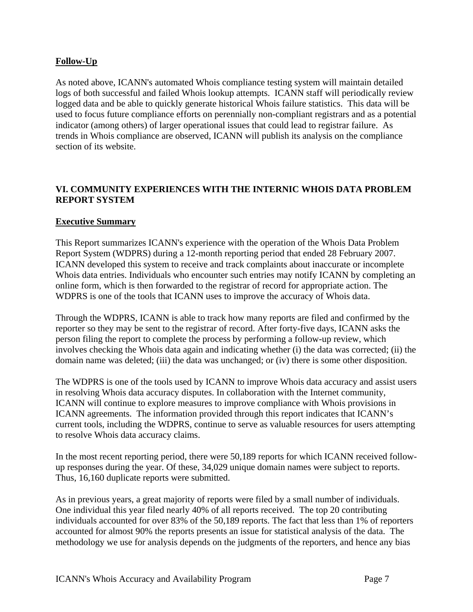## **Follow-Up**

As noted above, ICANN's automated Whois compliance testing system will maintain detailed logs of both successful and failed Whois lookup attempts. ICANN staff will periodically review logged data and be able to quickly generate historical Whois failure statistics. This data will be used to focus future compliance efforts on perennially non-compliant registrars and as a potential indicator (among others) of larger operational issues that could lead to registrar failure. As trends in Whois compliance are observed, ICANN will publish its analysis on the compliance section of its website.

## **VI. COMMUNITY EXPERIENCES WITH THE INTERNIC WHOIS DATA PROBLEM REPORT SYSTEM**

## **Executive Summary**

This Report summarizes ICANN's experience with the operation of the Whois Data Problem Report System (WDPRS) during a 12-month reporting period that ended 28 February 2007. ICANN developed this system to receive and track complaints about inaccurate or incomplete Whois data entries. Individuals who encounter such entries may notify ICANN by completing an online form, which is then forwarded to the registrar of record for appropriate action. The WDPRS is one of the tools that ICANN uses to improve the accuracy of Whois data.

Through the WDPRS, ICANN is able to track how many reports are filed and confirmed by the reporter so they may be sent to the registrar of record. After forty-five days, ICANN asks the person filing the report to complete the process by performing a follow-up review, which involves checking the Whois data again and indicating whether (i) the data was corrected; (ii) the domain name was deleted; (iii) the data was unchanged; or (iv) there is some other disposition.

The WDPRS is one of the tools used by ICANN to improve Whois data accuracy and assist users in resolving Whois data accuracy disputes. In collaboration with the Internet community, ICANN will continue to explore measures to improve compliance with Whois provisions in ICANN agreements. The information provided through this report indicates that ICANN's current tools, including the WDPRS, continue to serve as valuable resources for users attempting to resolve Whois data accuracy claims.

In the most recent reporting period, there were 50,189 reports for which ICANN received followup responses during the year. Of these, 34,029 unique domain names were subject to reports. Thus, 16,160 duplicate reports were submitted.

As in previous years, a great majority of reports were filed by a small number of individuals. One individual this year filed nearly 40% of all reports received. The top 20 contributing individuals accounted for over 83% of the 50,189 reports. The fact that less than 1% of reporters accounted for almost 90% the reports presents an issue for statistical analysis of the data. The methodology we use for analysis depends on the judgments of the reporters, and hence any bias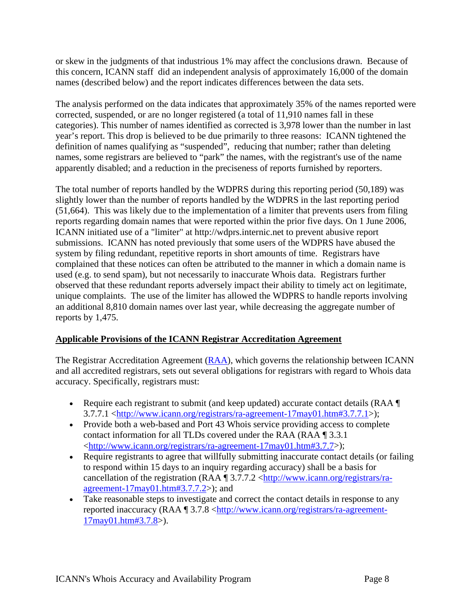or skew in the judgments of that industrious 1% may affect the conclusions drawn. Because of this concern, ICANN staff did an independent analysis of approximately 16,000 of the domain names (described below) and the report indicates differences between the data sets.

The analysis performed on the data indicates that approximately 35% of the names reported were corrected, suspended, or are no longer registered (a total of 11,910 names fall in these categories). This number of names identified as corrected is 3,978 lower than the number in last year's report. This drop is believed to be due primarily to three reasons: ICANN tightened the definition of names qualifying as "suspended", reducing that number; rather than deleting names, some registrars are believed to "park" the names, with the registrant's use of the name apparently disabled; and a reduction in the preciseness of reports furnished by reporters.

The total number of reports handled by the WDPRS during this reporting period (50,189) was slightly lower than the number of reports handled by the WDPRS in the last reporting period (51,664). This was likely due to the implementation of a limiter that prevents users from filing reports regarding domain names that were reported within the prior five days. On 1 June 2006, ICANN initiated use of a "limiter" at http://wdprs.internic.net to prevent abusive report submissions. ICANN has noted previously that some users of the WDPRS have abused the system by filing redundant, repetitive reports in short amounts of time. Registrars have complained that these notices can often be attributed to the manner in which a domain name is used (e.g. to send spam), but not necessarily to inaccurate Whois data. Registrars further observed that these redundant reports adversely impact their ability to timely act on legitimate, unique complaints. The use of the limiter has allowed the WDPRS to handle reports involving an additional 8,810 domain names over last year, while decreasing the aggregate number of reports by 1,475.

# **Applicable Provisions of the ICANN Registrar Accreditation Agreement**

The Registrar Accreditation Agreement  $(RAA)$ , which governs the relationship between ICANN and all accredited registrars, sets out several obligations for registrars with regard to Whois data accuracy. Specifically, registrars must:

- Require each registrant to submit (and keep updated) accurate contact details (RAA  $\P$ 3.7.7.1 <http://www.icann.org/registrars/ra-agreement-17may01.htm#3.7.7.1>);
- Provide both a web-based and Port 43 Whois service providing access to complete contact information for all TLDs covered under the RAA (RAA ¶ 3.3.1 <http://www.icann.org/registrars/ra-agreement-17may01.htm#3.7.7>);
- Require registrants to agree that willfully submitting inaccurate contact details (or failing to respond within 15 days to an inquiry regarding accuracy) shall be a basis for cancellation of the registration (RAA  $\parallel$  3.7.7.2 <http://www.icann.org/registrars/raagreement- $17$ may $01$ .htm#3.7.7.2>); and
- Take reasonable steps to investigate and correct the contact details in response to any reported inaccuracy (RAA ¶ 3.7.8 <http://www.icann.org/registrars/ra-agreement-17may01.htm#3.7.8>).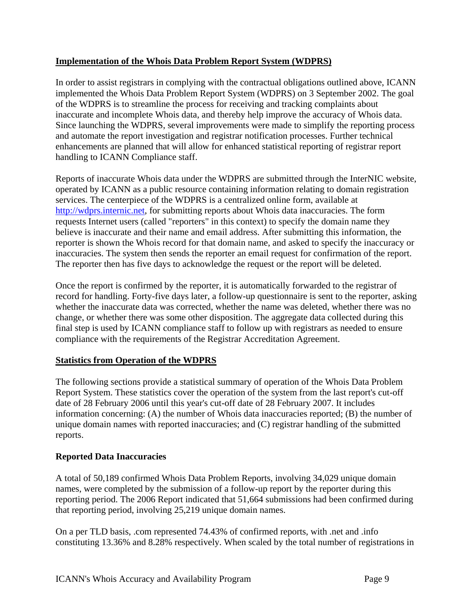## **Implementation of the Whois Data Problem Report System (WDPRS)**

In order to assist registrars in complying with the contractual obligations outlined above, ICANN implemented the Whois Data Problem Report System (WDPRS) on 3 September 2002. The goal of the WDPRS is to streamline the process for receiving and tracking complaints about inaccurate and incomplete Whois data, and thereby help improve the accuracy of Whois data. Since launching the WDPRS, several improvements were made to simplify the reporting process and automate the report investigation and registrar notification processes. Further technical enhancements are planned that will allow for enhanced statistical reporting of registrar report handling to ICANN Compliance staff.

Reports of inaccurate Whois data under the WDPRS are submitted through the InterNIC website, operated by ICANN as a public resource containing information relating to domain registration services. The centerpiece of the WDPRS is a centralized online form, available at http://wdprs.internic.net, for submitting reports about Whois data inaccuracies. The form requests Internet users (called "reporters" in this context) to specify the domain name they believe is inaccurate and their name and email address. After submitting this information, the reporter is shown the Whois record for that domain name, and asked to specify the inaccuracy or inaccuracies. The system then sends the reporter an email request for confirmation of the report. The reporter then has five days to acknowledge the request or the report will be deleted.

Once the report is confirmed by the reporter, it is automatically forwarded to the registrar of record for handling. Forty-five days later, a follow-up questionnaire is sent to the reporter, asking whether the inaccurate data was corrected, whether the name was deleted, whether there was no change, or whether there was some other disposition. The aggregate data collected during this final step is used by ICANN compliance staff to follow up with registrars as needed to ensure compliance with the requirements of the Registrar Accreditation Agreement.

# **Statistics from Operation of the WDPRS**

The following sections provide a statistical summary of operation of the Whois Data Problem Report System. These statistics cover the operation of the system from the last report's cut-off date of 28 February 2006 until this year's cut-off date of 28 February 2007. It includes information concerning: (A) the number of Whois data inaccuracies reported; (B) the number of unique domain names with reported inaccuracies; and (C) registrar handling of the submitted reports.

# **Reported Data Inaccuracies**

A total of 50,189 confirmed Whois Data Problem Reports, involving 34,029 unique domain names, were completed by the submission of a follow-up report by the reporter during this reporting period. The 2006 Report indicated that 51,664 submissions had been confirmed during that reporting period, involving 25,219 unique domain names.

On a per TLD basis, .com represented 74.43% of confirmed reports, with .net and .info constituting 13.36% and 8.28% respectively. When scaled by the total number of registrations in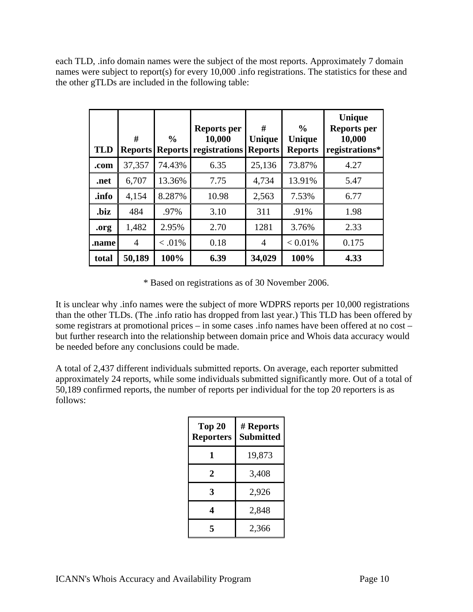each TLD, .info domain names were the subject of the most reports. Approximately 7 domain names were subject to report(s) for every 10,000 .info registrations. The statistics for these and the other gTLDs are included in the following table:

| <b>TLD</b> | #<br><b>Reports</b> | $\frac{6}{6}$<br><b>Reports</b> | <b>Reports per</b><br>10,000<br>registrations | #<br><b>Unique</b><br><b>Reports</b> | $\frac{0}{0}$<br><b>Unique</b><br><b>Reports</b> | Unique<br><b>Reports per</b><br>10,000<br>registrations* |
|------------|---------------------|---------------------------------|-----------------------------------------------|--------------------------------------|--------------------------------------------------|----------------------------------------------------------|
| .com       | 37,357              | 74.43%                          | 6.35                                          | 25,136                               | 73.87%                                           | 4.27                                                     |
| .net       | 6,707               | 13.36%                          | 7.75                                          | 4,734                                | 13.91%                                           | 5.47                                                     |
| .info      | 4,154               | 8.287%                          | 10.98                                         | 2,563                                | 7.53%                                            | 6.77                                                     |
| .biz       | 484                 | .97%                            | 3.10                                          | 311                                  | .91%                                             | 1.98                                                     |
| .org       | 1,482               | 2.95%                           | 2.70                                          | 1281                                 | 3.76%                                            | 2.33                                                     |
| .name      | $\overline{4}$      | $< 0.01\%$                      | 0.18                                          | $\overline{4}$                       | $< 0.01\%$                                       | 0.175                                                    |
| total      | 50,189              | 100%                            | 6.39                                          | 34,029                               | 100%                                             | 4.33                                                     |

\* Based on registrations as of 30 November 2006.

It is unclear why .info names were the subject of more WDPRS reports per 10,000 registrations than the other TLDs. (The .info ratio has dropped from last year.) This TLD has been offered by some registrars at promotional prices – in some cases .info names have been offered at no cost – but further research into the relationship between domain price and Whois data accuracy would be needed before any conclusions could be made.

A total of 2,437 different individuals submitted reports. On average, each reporter submitted approximately 24 reports, while some individuals submitted significantly more. Out of a total of 50,189 confirmed reports, the number of reports per individual for the top 20 reporters is as follows:

| Top 20<br><b>Reporters</b> | # Reports<br><b>Submitted</b> |
|----------------------------|-------------------------------|
| 1                          | 19,873                        |
| 2                          | 3,408                         |
| 3                          | 2,926                         |
|                            | 2,848                         |
| 5                          | 2,366                         |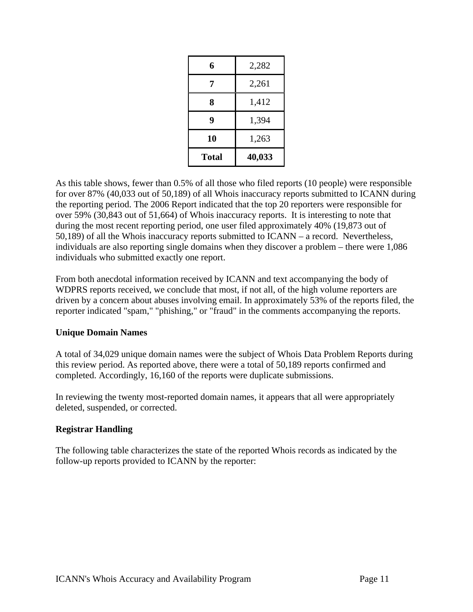| 6     | 2,282  |
|-------|--------|
| 7     | 2,261  |
| 8     | 1,412  |
| 9     | 1,394  |
| 10    | 1,263  |
| Total | 40,033 |

As this table shows, fewer than 0.5% of all those who filed reports (10 people) were responsible for over 87% (40,033 out of 50,189) of all Whois inaccuracy reports submitted to ICANN during the reporting period. The 2006 Report indicated that the top 20 reporters were responsible for over 59% (30,843 out of 51,664) of Whois inaccuracy reports. It is interesting to note that during the most recent reporting period, one user filed approximately 40% (19,873 out of 50,189) of all the Whois inaccuracy reports submitted to ICANN – a record. Nevertheless, individuals are also reporting single domains when they discover a problem – there were 1,086 individuals who submitted exactly one report.

From both anecdotal information received by ICANN and text accompanying the body of WDPRS reports received, we conclude that most, if not all, of the high volume reporters are driven by a concern about abuses involving email. In approximately 53% of the reports filed, the reporter indicated "spam," "phishing," or "fraud" in the comments accompanying the reports.

## **Unique Domain Names**

A total of 34,029 unique domain names were the subject of Whois Data Problem Reports during this review period. As reported above, there were a total of 50,189 reports confirmed and completed. Accordingly, 16,160 of the reports were duplicate submissions.

In reviewing the twenty most-reported domain names, it appears that all were appropriately deleted, suspended, or corrected.

## **Registrar Handling**

The following table characterizes the state of the reported Whois records as indicated by the follow-up reports provided to ICANN by the reporter: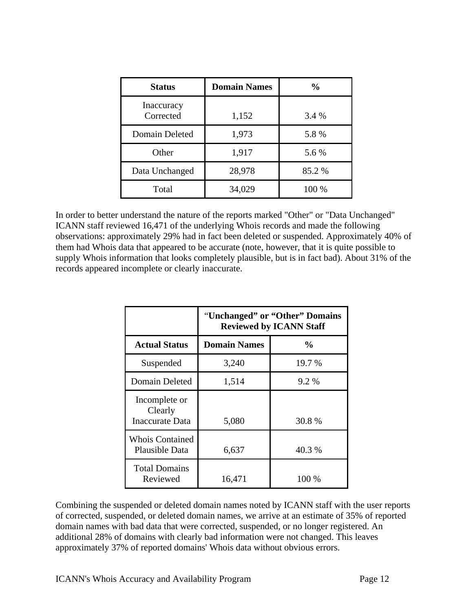| <b>Status</b>           | <b>Domain Names</b> | $\frac{0}{0}$ |  |
|-------------------------|---------------------|---------------|--|
| Inaccuracy<br>Corrected | 1,152               | 3.4 %         |  |
| Domain Deleted          | 1,973               | 5.8%          |  |
| Other                   | 1,917               | 5.6 %         |  |
| Data Unchanged          | 28,978              | 85.2%         |  |
| Total                   | 34,029              | 100 %         |  |

In order to better understand the nature of the reports marked "Other" or "Data Unchanged" ICANN staff reviewed 16,471 of the underlying Whois records and made the following observations: approximately 29% had in fact been deleted or suspended. Approximately 40% of them had Whois data that appeared to be accurate (note, however, that it is quite possible to supply Whois information that looks completely plausible, but is in fact bad). About 31% of the records appeared incomplete or clearly inaccurate.

|                                             | "Unchanged" or "Other" Domains<br><b>Reviewed by ICANN Staff</b> |               |  |
|---------------------------------------------|------------------------------------------------------------------|---------------|--|
| <b>Actual Status</b>                        | <b>Domain Names</b>                                              | $\frac{6}{9}$ |  |
| Suspended                                   | 3,240                                                            | 19.7 %        |  |
| Domain Deleted                              | 1,514                                                            | 9.2 %         |  |
| Incomplete or<br>Clearly<br>Inaccurate Data | 5,080                                                            | 30.8%         |  |
| <b>Whois Contained</b><br>Plausible Data    | 6,637                                                            | 40.3 %        |  |
| <b>Total Domains</b><br>Reviewed            | 16,471                                                           | 100 %         |  |

Combining the suspended or deleted domain names noted by ICANN staff with the user reports of corrected, suspended, or deleted domain names, we arrive at an estimate of 35% of reported domain names with bad data that were corrected, suspended, or no longer registered. An additional 28% of domains with clearly bad information were not changed. This leaves approximately 37% of reported domains' Whois data without obvious errors.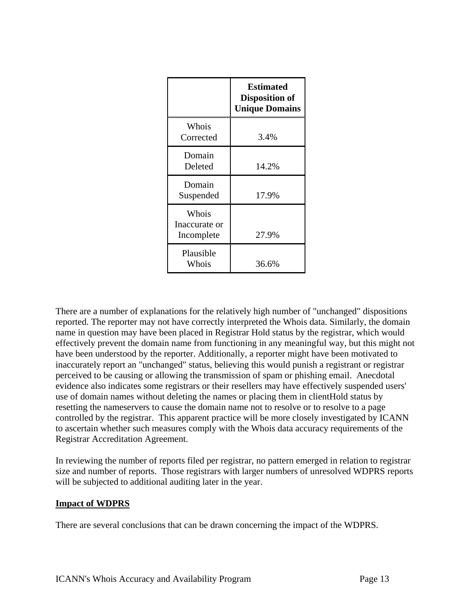|                                      | <b>Estimated</b><br><b>Disposition of</b><br><b>Unique Domains</b> |
|--------------------------------------|--------------------------------------------------------------------|
| Whois<br>Corrected                   | 3.4%                                                               |
| Domain<br>Deleted                    | 14.2%                                                              |
| Domain<br>Suspended                  | 17.9%                                                              |
| Whois<br>Inaccurate or<br>Incomplete | 27.9%                                                              |
| Plausible<br>Whois                   | 36.6%                                                              |

There are a number of explanations for the relatively high number of "unchanged" dispositions reported. The reporter may not have correctly interpreted the Whois data. Similarly, the domain name in question may have been placed in Registrar Hold status by the registrar, which would effectively prevent the domain name from functioning in any meaningful way, but this might not have been understood by the reporter. Additionally, a reporter might have been motivated to inaccurately report an "unchanged" status, believing this would punish a registrant or registrar perceived to be causing or allowing the transmission of spam or phishing email. Anecdotal evidence also indicates some registrars or their resellers may have effectively suspended users' use of domain names without deleting the names or placing them in clientHold status by resetting the nameservers to cause the domain name not to resolve or to resolve to a page controlled by the registrar. This apparent practice will be more closely investigated by ICANN to ascertain whether such measures comply with the Whois data accuracy requirements of the Registrar Accreditation Agreement.

In reviewing the number of reports filed per registrar, no pattern emerged in relation to registrar size and number of reports. Those registrars with larger numbers of unresolved WDPRS reports will be subjected to additional auditing later in the year.

## **Impact of WDPRS**

There are several conclusions that can be drawn concerning the impact of the WDPRS.